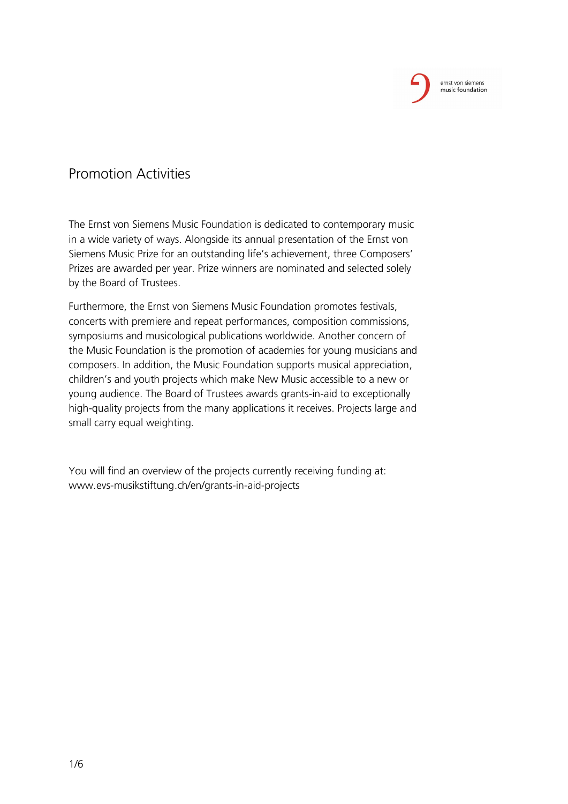## Promotion Activities

The Ernst von Siemens Music Foundation is dedicated to contemporary music in a wide variety of ways. Alongside its annual presentation of the Ernst von Siemens Music Prize for an outstanding life's achievement, three Composers' Prizes are awarded per year. Prize winners are nominated and selected solely by the Board of Trustees.

Furthermore, the Ernst von Siemens Music Foundation promotes festivals, concerts with premiere and repeat performances, composition commissions, symposiums and musicological publications worldwide. Another concern of the Music Foundation is the promotion of academies for young musicians and composers. In addition, the Music Foundation supports musical appreciation, children's and youth projects which make New Music accessible to a new or young audience. The Board of Trustees awards grants-in-aid to exceptionally high-quality projects from the many applications it receives. Projects large and small carry equal weighting.

You will find an overview of the projects currently receiving funding at: www.evs-musikstiftung.ch/en/grants-in-aid-projects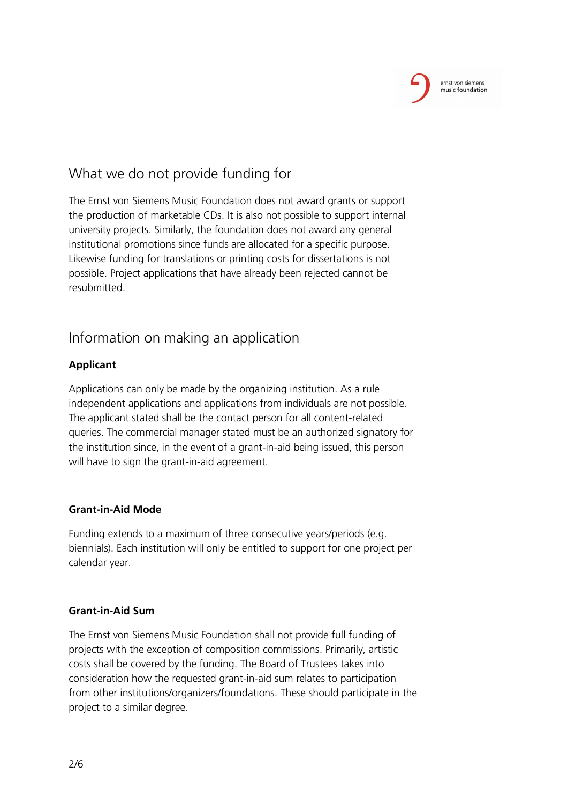

# What we do not provide funding for

The Ernst von Siemens Music Foundation does not award grants or support the production of marketable CDs. It is also not possible to support internal university projects. Similarly, the foundation does not award any general institutional promotions since funds are allocated for a specific purpose. Likewise funding for translations or printing costs for dissertations is not possible. Project applications that have already been rejected cannot be resubmitted.

## Information on making an application

### **Applicant**

Applications can only be made by the organizing institution. As a rule independent applications and applications from individuals are not possible. The applicant stated shall be the contact person for all content-related queries. The commercial manager stated must be an authorized signatory for the institution since, in the event of a grant-in-aid being issued, this person will have to sign the grant-in-aid agreement.

### **Grant-in-Aid Mode**

Funding extends to a maximum of three consecutive years/periods (e.g. biennials). Each institution will only be entitled to support for one project per calendar year.

#### **Grant-in-Aid Sum**

The Ernst von Siemens Music Foundation shall not provide full funding of projects with the exception of composition commissions. Primarily, artistic costs shall be covered by the funding. The Board of Trustees takes into consideration how the requested grant-in-aid sum relates to participation from other institutions/organizers/foundations. These should participate in the project to a similar degree.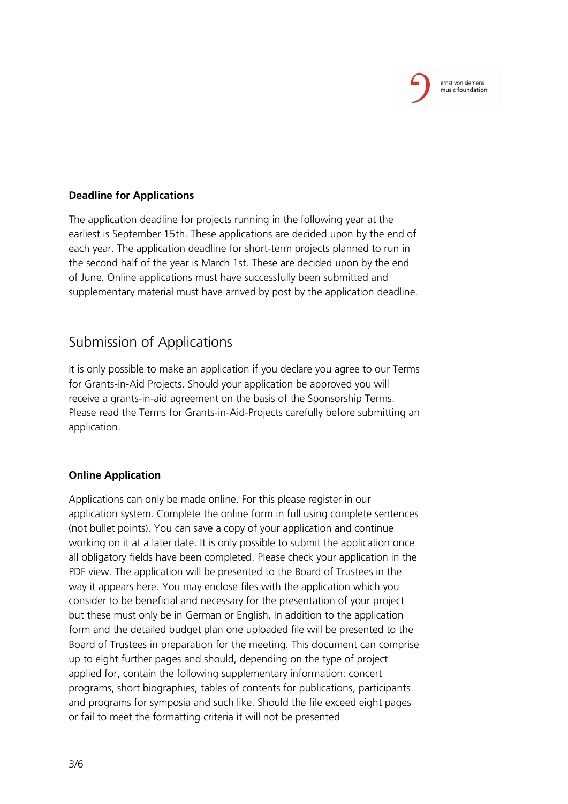#### **Deadline for Applications**

The application deadline for projects running in the following year at the earliest is September 15th. These applications are decided upon by the end of each year. The application deadline for short-term projects planned to run in the second half of the year is March 1st. These are decided upon by the end of June. Online applications must have successfully been submitted and supplementary material must have arrived by post by the application deadline.

## Submission of Applications

It is only possible to make an application if you declare you agree to our Terms for Grants-in-Aid Projects. Should your application be approved you will receive a grants-in-aid agreement on the basis of the Sponsorship Terms. Please read the Terms for Grants-in-Aid-Projects carefully before submitting an application.

#### **Online Application**

Applications can only be made online. For this please register in our application system. Complete the online form in full using complete sentences (not bullet points). You can save a copy of your application and continue working on it at a later date. It is only possible to submit the application once all obligatory fields have been completed. Please check your application in the PDF view. The application will be presented to the Board of Trustees in the way it appears here. You may enclose files with the application which you consider to be beneficial and necessary for the presentation of your project but these must only be in German or English. In addition to the application form and the detailed budget plan one uploaded file will be presented to the Board of Trustees in preparation for the meeting. This document can comprise up to eight further pages and should, depending on the type of project applied for, contain the following supplementary information: concert programs, short biographies, tables of contents for publications, participants and programs for symposia and such like. Should the file exceed eight pages or fail to meet the formatting criteria it will not be presented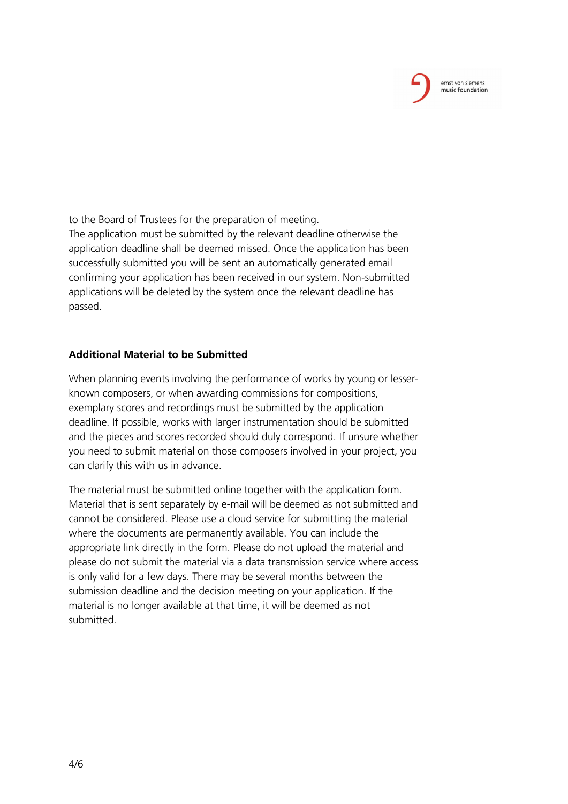to the Board of Trustees for the preparation of meeting. The application must be submitted by the relevant deadline otherwise the application deadline shall be deemed missed. Once the application has been successfully submitted you will be sent an automatically generated email confirming your application has been received in our system. Non-submitted applications will be deleted by the system once the relevant deadline has passed.

#### **Additional Material to be Submitted**

When planning events involving the performance of works by young or lesserknown composers, or when awarding commissions for compositions, exemplary scores and recordings must be submitted by the application deadline. If possible, works with larger instrumentation should be submitted and the pieces and scores recorded should duly correspond. If unsure whether you need to submit material on those composers involved in your project, you can clarify this with us in advance.

The material must be submitted online together with the application form. Material that is sent separately by e-mail will be deemed as not submitted and cannot be considered. Please use a cloud service for submitting the material where the documents are permanently available. You can include the appropriate link directly in the form. Please do not upload the material and please do not submit the material via a data transmission service where access is only valid for a few days. There may be several months between the submission deadline and the decision meeting on your application. If the material is no longer available at that time, it will be deemed as not submitted.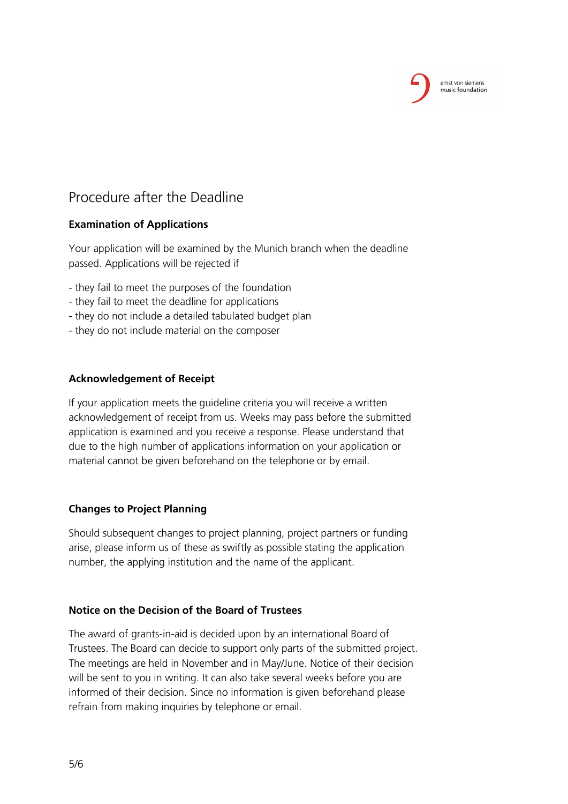

# Procedure after the Deadline

#### **Examination of Applications**

Your application will be examined by the Munich branch when the deadline passed. Applications will be rejected if

- they fail to meet the purposes of the foundation
- they fail to meet the deadline for applications
- they do not include a detailed tabulated budget plan
- they do not include material on the composer

#### **Acknowledgement of Receipt**

If your application meets the guideline criteria you will receive a written acknowledgement of receipt from us. Weeks may pass before the submitted application is examined and you receive a response. Please understand that due to the high number of applications information on your application or material cannot be given beforehand on the telephone or by email.

### **Changes to Project Planning**

Should subsequent changes to project planning, project partners or funding arise, please inform us of these as swiftly as possible stating the application number, the applying institution and the name of the applicant.

#### **Notice on the Decision of the Board of Trustees**

The award of grants-in-aid is decided upon by an international Board of Trustees. The Board can decide to support only parts of the submitted project. The meetings are held in November and in May/June. Notice of their decision will be sent to you in writing. It can also take several weeks before you are informed of their decision. Since no information is given beforehand please refrain from making inquiries by telephone or email.